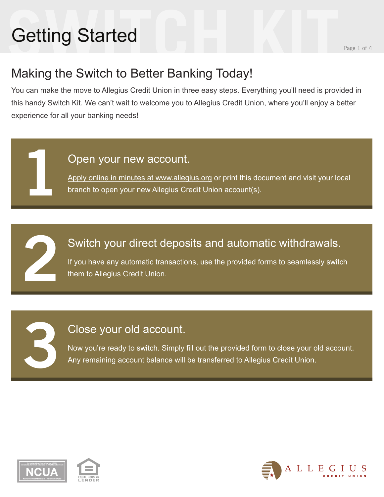# **Setting Started Started Report of Algebra 2001 1996 1 of 4** Getting Started

**1**

**2**

**3**

### Making the Switch to Better Banking Today!

You can make the move to Allegius Credit Union in three easy steps. Everything you'll need is provided in this handy Switch Kit. We can't wait to welcome you to Allegius Credit Union, where you'll enjoy a better experience for all your banking needs!

#### Open your new account.

Apply online in minutes at www.allegius.org or print this document and visit your local branch to open your new Allegius Credit Union account(s).

### Switch your direct deposits and automatic withdrawals.

If you have any automatic transactions, use the provided forms to seamlessly switch them to Allegius Credit Union.

#### Close your old account.

Now you're ready to switch. Simply fill out the provided form to close your old account. Any remaining account balance will be transferred to Allegius Credit Union.





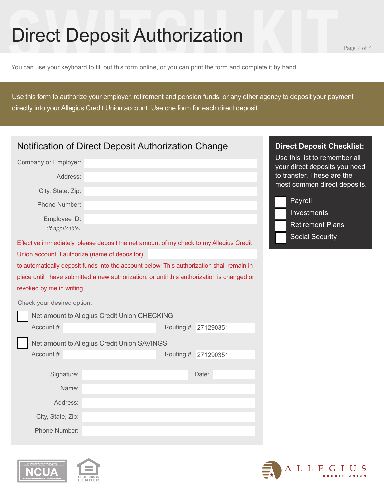# **Surfire Starting Starting Starting Starting Starting Starting Page 2 of 4**<br>You can use your keyboard to fill out this form online, or you can print the form and complete it by hand. Direct Deposit Authorization

ALLEGIUS

You can use your keyboard to fill out this form online, or you can print the form and complete it by hand.

Use this form to authorize your employer, retirement and pension funds, or any other agency to deposit your payment directly into your Allegius Credit Union account. Use one form for each direct deposit.

| Notification of Direct Deposit Authorization Change | <b>Direct Deposit Checklist:</b>                                                            |           |           |                                                                |
|-----------------------------------------------------|---------------------------------------------------------------------------------------------|-----------|-----------|----------------------------------------------------------------|
| Company or Employer:                                |                                                                                             |           |           | Use this list to remember all<br>your direct deposits you need |
| Address:                                            |                                                                                             |           |           | to transfer. These are the                                     |
| City, State, Zip:                                   |                                                                                             |           |           | most common direct deposits.                                   |
| Phone Number:                                       |                                                                                             |           |           | Payroll<br>Investments                                         |
| Employee ID:                                        |                                                                                             |           |           | <b>Retirement Plans</b>                                        |
| (if applicable)                                     |                                                                                             |           |           | <b>Social Security</b>                                         |
|                                                     | Effective immediately, please deposit the net amount of my check to my Allegius Credit      |           |           |                                                                |
| Union account. I authorize (name of depositor)      |                                                                                             |           |           |                                                                |
|                                                     | to automatically deposit funds into the account below. This authorization shall remain in   |           |           |                                                                |
|                                                     | place until I have submitted a new authorization, or until this authorization is changed or |           |           |                                                                |
| revoked by me in writing.                           |                                                                                             |           |           |                                                                |
| Check your desired option.                          |                                                                                             |           |           |                                                                |
|                                                     | Net amount to Allegius Credit Union CHECKING                                                |           |           |                                                                |
| Account#                                            |                                                                                             | Routing # | 271290351 |                                                                |
|                                                     | Net amount to Allegius Credit Union SAVINGS                                                 |           |           |                                                                |
| Account #                                           |                                                                                             | Routing # | 271290351 |                                                                |
|                                                     |                                                                                             |           |           |                                                                |
| Signature:                                          |                                                                                             |           | Date:     |                                                                |
| Name:                                               |                                                                                             |           |           |                                                                |
| Address:                                            |                                                                                             |           |           |                                                                |
| City, State, Zip:                                   |                                                                                             |           |           |                                                                |
| Phone Number:                                       |                                                                                             |           |           |                                                                |



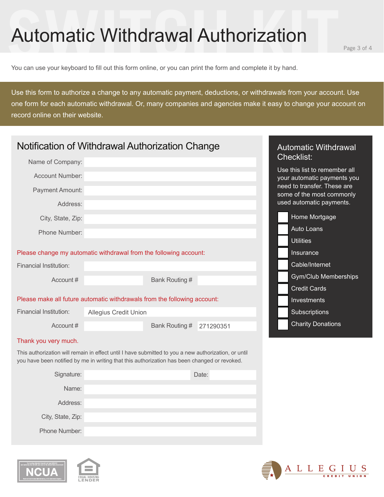# **Suppose Starting CONTROVIDER AUTHOLOGY**<br>
You can use your keyboard to fill out this form online, or you can print the form and complete it by hand. Automatic Withdrawal Authorization

You can use your keyboard to fill out this form online, or you can print the form and complete it by hand.

Use this form to authorize a change to any automatic payment, deductions, or withdrawals from your account. Use one form for each automatic withdrawal. Or, many companies and agencies make it easy to change your account on record online on their website.

| Notification of Withdrawal Authorization Change                                                                                                                                                      | <b>Automatic Withdrawal</b>                                       |                             |                                                                                      |  |  |  |
|------------------------------------------------------------------------------------------------------------------------------------------------------------------------------------------------------|-------------------------------------------------------------------|-----------------------------|--------------------------------------------------------------------------------------|--|--|--|
| Name of Company:                                                                                                                                                                                     |                                                                   |                             | <b>Checklist:</b>                                                                    |  |  |  |
| <b>Account Number:</b>                                                                                                                                                                               |                                                                   |                             | Use this list to remember all<br>your automatic payments you                         |  |  |  |
| Payment Amount:<br>Address:                                                                                                                                                                          |                                                                   |                             | need to transfer. These are<br>some of the most commonly<br>used automatic payments. |  |  |  |
|                                                                                                                                                                                                      |                                                                   |                             |                                                                                      |  |  |  |
| City, State, Zip:                                                                                                                                                                                    |                                                                   |                             | Home Mortgage                                                                        |  |  |  |
| Phone Number:                                                                                                                                                                                        |                                                                   |                             | Auto Loans                                                                           |  |  |  |
|                                                                                                                                                                                                      |                                                                   |                             | <b>Utilities</b>                                                                     |  |  |  |
|                                                                                                                                                                                                      | Please change my automatic withdrawal from the following account: |                             | Insurance                                                                            |  |  |  |
| <b>Financial Institution:</b>                                                                                                                                                                        |                                                                   |                             | Cable/Internet                                                                       |  |  |  |
| Account#                                                                                                                                                                                             |                                                                   | Bank Routing #              | <b>Gym/Club Memberships</b>                                                          |  |  |  |
|                                                                                                                                                                                                      |                                                                   |                             | <b>Credit Cards</b>                                                                  |  |  |  |
| Please make all future automatic withdrawals from the following account:                                                                                                                             | Investments                                                       |                             |                                                                                      |  |  |  |
| <b>Financial Institution:</b>                                                                                                                                                                        | <b>Allegius Credit Union</b>                                      |                             | Subscriptions                                                                        |  |  |  |
| Account#                                                                                                                                                                                             |                                                                   | Bank Routing #<br>271290351 | <b>Charity Donations</b>                                                             |  |  |  |
| Thank you very much.                                                                                                                                                                                 |                                                                   |                             |                                                                                      |  |  |  |
| This authorization will remain in effect until I have submitted to you a new authorization, or until<br>you have been notified by me in writing that this authorization has been changed or revoked. |                                                                   |                             |                                                                                      |  |  |  |
| Signature:                                                                                                                                                                                           |                                                                   | Date:                       |                                                                                      |  |  |  |
| Name:                                                                                                                                                                                                |                                                                   |                             |                                                                                      |  |  |  |
| Address:                                                                                                                                                                                             |                                                                   |                             |                                                                                      |  |  |  |
| City, State, Zip:                                                                                                                                                                                    |                                                                   |                             |                                                                                      |  |  |  |
| Phone Number:                                                                                                                                                                                        |                                                                   |                             |                                                                                      |  |  |  |